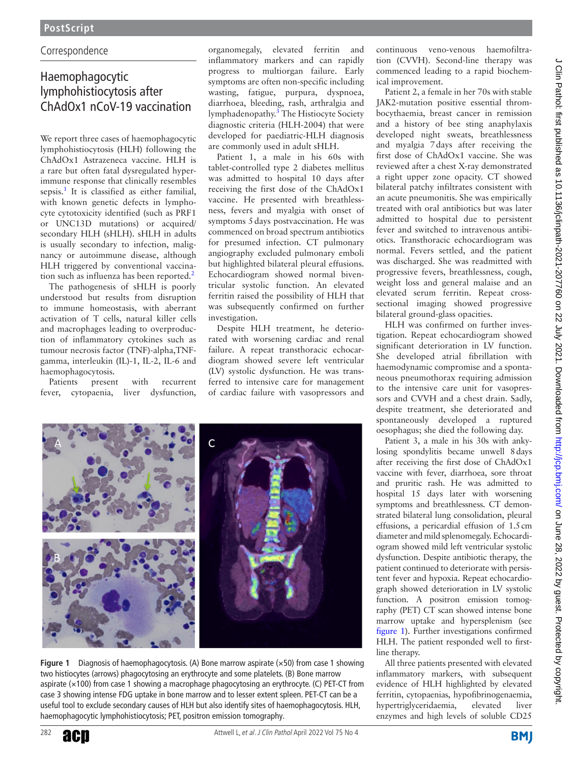# C orrespondence

# Haemophagocytic lymphohistiocytosis after ChAdOx1 nCoV-19 vaccination

We report three cases of haemophagocytic lymphohistiocytosis (HLH) following the ChAdOx1 Astrazeneca vaccine. HLH is a rare but often fatal dysregulated hyperimmune response that clinically resembles sepsis.<sup>[1](#page-2-0)</sup> It is classified as either familial, with known genetic defects in lymphocyte cytotoxicity identified (such as PRF1 or UNC13D mutations) or acquired/ secondary HLH (sHLH). sHLH in adults is usually secondary to infection, malignancy or autoimmune disease, although HLH triggered by conventional vaccination such as influenza has been reported. $<sup>2</sup>$  $<sup>2</sup>$  $<sup>2</sup>$ </sup>

The pathogenesis of sHLH is poorly understood but results from disruption to immune homeostasis, with aberrant activation of T cells, natural killer cells and macrophages leading to overproduction of inflammatory cytokines such as tumour necrosis factor (TNF)-alpha,TNFgamma, interleukin (IL)-1, IL-2, IL-6 and haemophagocytosis.

Patients present with recurrent fever, cytopaenia, liver dysfunction, organomegaly, elevated ferritin and inflammatory markers and can rapidly progress to multiorgan failure. Early symptoms are often non-specific including wasting, fatigue, purpura, dyspnoea, diarrhoea, bleeding, rash, arthralgia and lymphadenopathy.<sup>3</sup> The Histiocyte Society diagnostic criteria (HLH-2004) that were developed for paediatric-HLH diagnosis are commonly used in adult sHLH.

Patient 1, a male in his 60s with tablet-controlled type 2 diabetes mellitus was admitted to hospital 10 days after receiving the first dose of the ChAdOx1 vaccine. He presented with breathlessness, fevers and myalgia with onset of symptoms 5days postvaccination. He was commenced on broad spectrum antibiotics for presumed infection. CT pulmonary angiography excluded pulmonary emboli but highlighted bilateral pleural effusions. Echocardiogram showed normal biventricular systolic function. An elevated ferritin raised the possibility of HLH that was subsequently confirmed on further investigation.

Despite HLH treatment, he deteriorated with worsening cardiac and renal failure. A repeat transthoracic echocardiogram showed severe left ventricular (LV) systolic dysfunction. He was transferred to intensive care for management of cardiac failure with vasopressors and



**Figure 1** Diagnosis of haemophagocytosis. (A) Bone marrow aspirate (×50) from case 1 showing two histiocytes (arrows) phagocytosing an erythrocyte and some platelets. (B) Bone marrow aspirate (×100) from case 1 showing a macrophage phagocytosing an erythrocyte. (C) PET-CT from case 3 showing intense FDG uptake in bone marrow and to lesser extent spleen. PET-CT can be a useful tool to exclude secondary causes of HLH but also identify sites of haemophagocytosis. HLH, haemophagocytic lymphohistiocytosis; PET, positron emission tomography.

continuous veno-venous haemofiltration (CVVH). Second-line therapy was commenced leading to a rapid biochemical improvement.

Patient 2, a female in her 70s with stable JAK2-mutation positive essential thrombocythaemia, breast cancer in remission and a history of bee sting anaphylaxis developed night sweats, breathlessness and myalgia 7days after receiving the first dose of ChAdOx1 vaccine. She was reviewed after a chest X-ray demonstrated a right upper zone opacity. CT showed bilateral patchy infiltrates consistent with an acute pneumonitis. She was empirically treated with oral antibiotics but was later admitted to hospital due to persistent fever and switched to intravenous antibiotics. Transthoracic echocardiogram was normal. Fevers settled, and the patient was discharged. She was readmitted with progressive fevers, breathlessness, cough, weight loss and general malaise and an elevated serum ferritin. Repeat crosssectional imaging showed progressive bilateral ground-glass opacities.

HLH was confirmed on further investigation. Repeat echocardiogram showed significant deterioration in LV function. She developed atrial fibrillation with haemodynamic compromise and a spontaneous pneumothorax requiring admission to the intensive care unit for vasopressors and CVVH and a chest drain. Sadly, despite treatment, she deteriorated and spontaneously developed a ruptured oesophagus; she died the following day.

Patient 3, a male in his 30s with ankylosing spondylitis became unwell 8days after receiving the first dose of ChAdOx1 vaccine with fever, diarrhoea, sore throat and pruritic rash. He was admitted to hospital 15 days later with worsening symptoms and breathlessness. CT demonstrated bilateral lung consolidation, pleural effusions, a pericardial effusion of 1.5cm diameter and mild splenomegaly. Echocardiogram showed mild left ventricular systolic dysfunction. Despite antibiotic therapy, the patient continued to deteriorate with persistent fever and hypoxia. Repeat echocardiograph showed deterioration in LV systolic function. A positron emission tomography (PET) CT scan showed intense bone marrow uptake and hypersplenism (see [figure](#page-0-0) 1). Further investigations confirmed HLH. The patient responded well to firstline therapy.

All three patients presented with elevated inflammatory markers, with subsequent evidence of HLH highlighted by elevated ferritin, cytopaenias, hypofibrinogenaemia, hypertriglyceridaemia, elevated liver enzymes and high levels of soluble CD25

<span id="page-0-0"></span>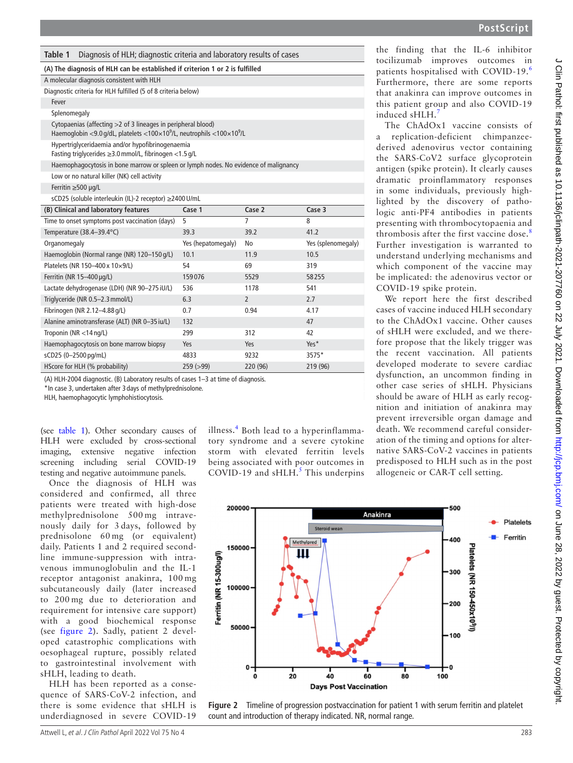<span id="page-1-0"></span>

#### **(A) The diagnosis of HLH can be established if criterion 1 or 2 is fulfilled**

| A molecular diagnosis consistent with HLH |  |  |
|-------------------------------------------|--|--|
|                                           |  |  |

| Diagnostic criteria for HLH fulfilled (5 of 8 criteria below) |
|---------------------------------------------------------------|
|---------------------------------------------------------------|

Fever

Splenomegaly

Cytopaenias (affecting >2 of 3 lineages in peripheral blood) Haemoglobin <9.0 g/dL, platelets <100×10<sup>9</sup>/L, neutrophils <100×10<sup>9</sup>/L

Hypertriglyceridaemia and/or hypofibrinogenaemia

Fasting triglycerides ≥3.0mmol/L, fibrinogen <1.5 g/L

Haemophagocytosis in bone marrow or spleen or lymph nodes. No evidence of malignancy

Low or no natural killer (NK) cell activity

Ferritin ≥500 µg/L

sCD25 (soluble interleukin (IL)-2 receptor) ≥2400U/mL

| (B) Clinical and laboratory features           | Case 1             | Case 2         | Case 3             |
|------------------------------------------------|--------------------|----------------|--------------------|
| Time to onset symptoms post vaccination (days) | 5                  | 7              | 8                  |
| Temperature (38.4-39.4°C)                      | 39.3               | 39.2           | 41.2               |
| Organomegaly                                   | Yes (hepatomegaly) | No             | Yes (splenomegaly) |
| Haemoglobin (Normal range (NR) 120-150 g/L)    | 10.1               | 11.9           | 10.5               |
| Platelets (NR 150-400 x 10×9/L)                | 54                 | 69             | 319                |
| Ferritin (NR $15-400 \mu q/L$ )                | 159076             | 5529           | 58255              |
| Lactate dehydrogenase (LDH) (NR 90-275 iU/L)   | 536                | 1178           | 541                |
| Triglyceride (NR 0.5-2.3 mmol/L)               | 6.3                | $\overline{2}$ | 2.7                |
| Fibrinogen (NR 2.12-4.88 g/L)                  | 0.7                | 0.94           | 4.17               |
| Alanine aminotransferase (ALT) (NR 0-35 iu/L)  | 132                |                | 47                 |
| Troponin ( $NR < 14$ ng/L)                     | 299                | 312            | 42                 |
| Haemophagocytosis on bone marrow biopsy        | Yes                | Yes            | Yes*               |
| sCD25 (0-2500 pg/mL)                           | 4833               | 9232           | 3575*              |
| HScore for HLH (% probability)                 | 259 (>99)          | 220 (96)       | 219 (96)           |

(A) HLH-2004 diagnostic. (B) Laboratory results of cases 1–3 at time of diagnosis.

\*In case 3, undertaken after 3 days of methylprednisolone.

HLH, haemophagocytic lymphohistiocytosis.

(see [table](#page-1-0) 1). Other secondary causes of HLH were excluded by cross-sectional imaging, extensive negative infection screening including serial COVID-19 testing and negative autoimmune panels.

Once the diagnosis of HLH was considered and confirmed, all three patients were treated with high-dose methylprednisolone 500 mg intravenously daily for 3 days, followed by prednisolone 60 mg (or equivalent) daily. Patients 1 and 2 required secondline immune-suppression with intravenous immunoglobulin and the IL-1 receptor antagonist anakinra, 100 mg subcutaneously daily (later increased to 200 mg due to deterioration and requirement for intensive care support) with a good biochemical response (see [figure](#page-1-1) 2). Sadly, patient 2 developed catastrophic complications with oesophageal rupture, possibly related to gastrointestinal involvement with sHLH, leading to death.

HLH has been reported as a consequence of SARS-CoV-2 infection, and there is some evidence that sHLH is underdiagnosed in severe COVID-19

illness.[4](#page-2-3) Both lead to a hyperinflammatory syndrome and a severe cytokine storm with elevated ferritin levels being associated with poor outcomes in COVID-19 and  $sH L H$ .<sup>[5](#page-2-4)</sup> This underpins the finding that the IL-6 inhibitor tocilizumab improves outcomes in patients hospitalised with COVID-19.[6](#page-2-5) Furthermore, there are some reports that anakinra can improve outcomes in this patient group and also COVID-19 induced sHLH.[7](#page-2-6)

The ChAdOx1 vaccine consists of a replication-deficient chimpanzeederived adenovirus vector containing the SARS-CoV2 surface glycoprotein antigen (spike protein). It clearly causes dramatic proinflammatory responses in some individuals, previously highlighted by the discovery of pathologic anti-PF4 antibodies in patients presenting with thrombocytopaenia and thrombosis after the first vaccine dose.<sup>[8](#page-2-7)</sup> Further investigation is warranted to understand underlying mechanisms and which component of the vaccine may be implicated: the adenovirus vector or COVID-19 spike protein.

We report here the first described cases of vaccine induced HLH secondary to the ChAdOx1 vaccine. Other causes of sHLH were excluded, and we therefore propose that the likely trigger was the recent vaccination. All patients developed moderate to severe cardiac dysfunction, an uncommon finding in other case series of sHLH. Physicians should be aware of HLH as early recognition and initiation of anakinra may prevent irreversible organ damage and death. We recommend careful consideration of the timing and options for alternative SARS-CoV-2 vaccines in patients predisposed to HLH such as in the post allogeneic or CAR-T cell setting.



<span id="page-1-1"></span>**Figure 2** Timeline of progression postvaccination for patient 1 with serum ferritin and platelet count and introduction of therapy indicated. NR, normal range.